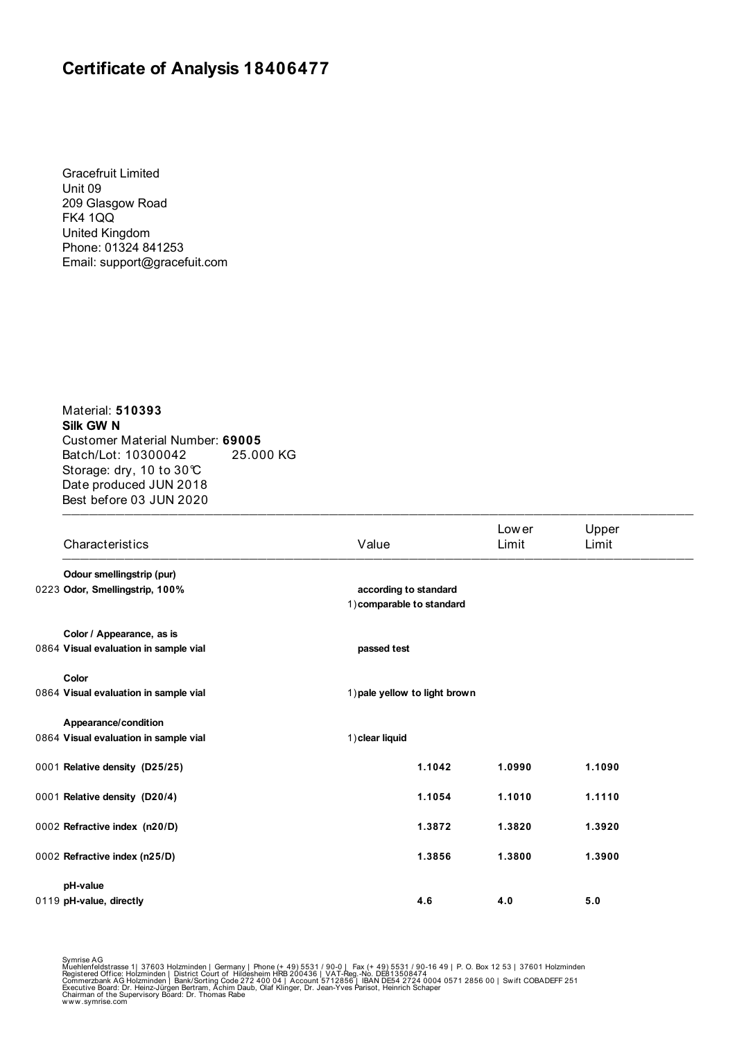## **Certificate of Analysis 18406477**

Gracefruit Limited Unit 09 209 Glasgow Road FK4 1QQ United Kingdom Phone: 01324 841253 Email: support@gracefuit.com

 $\blacksquare$ Material: **510393 Silk GW N**  Customer Material Number: **69005** Batch/Lot: 10300042 25.000 KG Storage: dry, 10 to 30°C Date produced JUN 2018 Best before 03 JUN 2020

| Characteristics                       | Value                                              | Low er<br>Limit | Upper<br>Limit |  |  |  |
|---------------------------------------|----------------------------------------------------|-----------------|----------------|--|--|--|
| Odour smellingstrip (pur)             |                                                    |                 |                |  |  |  |
| 0223 Odor, Smellingstrip, 100%        | according to standard<br>1) comparable to standard |                 |                |  |  |  |
| Color / Appearance, as is             |                                                    |                 |                |  |  |  |
| 0864 Visual evaluation in sample vial | passed test                                        |                 |                |  |  |  |
| Color                                 |                                                    |                 |                |  |  |  |
| 0864 Visual evaluation in sample vial | 1) pale yellow to light brown                      |                 |                |  |  |  |
| Appearance/condition                  |                                                    |                 |                |  |  |  |
| 0864 Visual evaluation in sample vial | 1) clear liquid                                    |                 |                |  |  |  |
| 0001 Relative density (D25/25)        | 1.1042                                             | 1.0990          | 1.1090         |  |  |  |
| 0001 Relative density (D20/4)         | 1.1054                                             | 1.1010          | 1.1110         |  |  |  |
| 0002 Refractive index (n20/D)         | 1.3872                                             | 1.3820          | 1.3920         |  |  |  |
| 0002 Refractive index (n25/D)         | 1.3856                                             | 1.3800          | 1.3900         |  |  |  |
| pH-value                              |                                                    |                 |                |  |  |  |
| 0119 pH-value, directly               | 4.6                                                | 4.0             | 5.0            |  |  |  |

Symrise AG<br>Muehlenfeldstrasse 1| 37603 Holzminden | Germany | Phone (+ 49) 5531 / 90-0 | Fax (+ 49) 5531 / 90-16 49 | P. O. Box 12 53 | 37601 Holzminden<br>Registered Office: Holzminden | District Court of Hildesheim HRB 2004